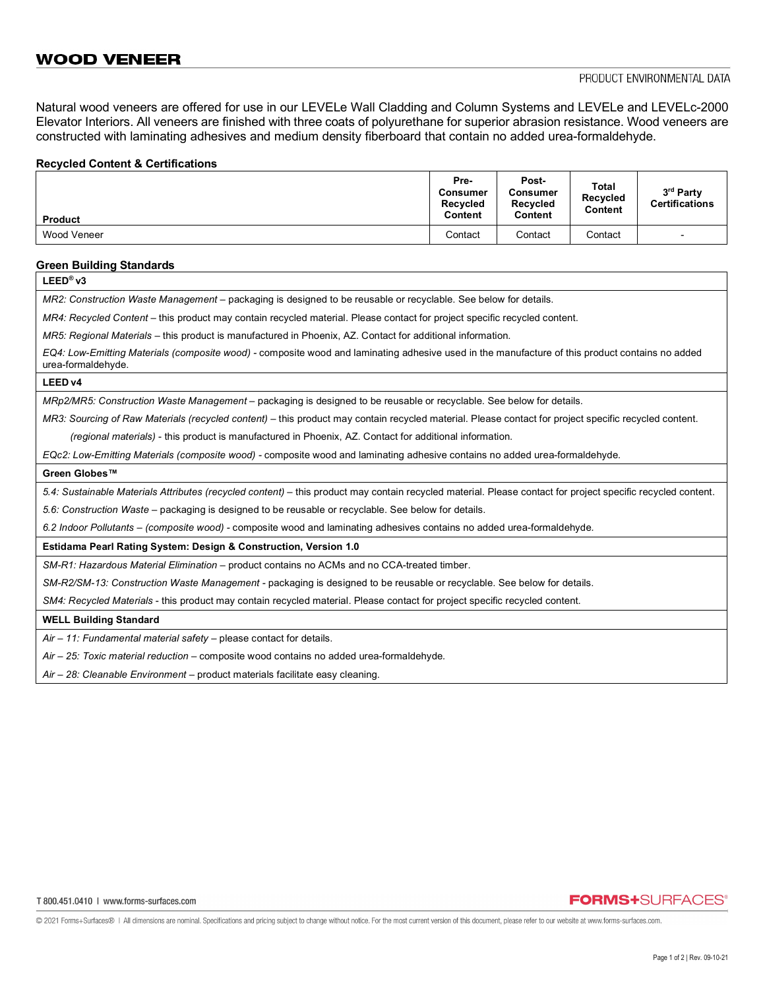Natural wood veneers are offered for use in our LEVELe Wall Cladding and Column Systems and LEVELe and LEVELc-2000 Elevator Interiors. All veneers are finished with three coats of polyurethane for superior abrasion resistance. Wood veneers are constructed with laminating adhesives and medium density fiberboard that contain no added urea-formaldehyde.

### **Recycled Content & Certifications**

| <b>Product</b> | Pre-<br>Consumer<br><b>Recycled</b><br>Content | Post-<br><b>Consumer</b><br>Recycled<br>Content | Total<br>Recycled<br>Content | 3rd Party<br><b>Certifications</b> |
|----------------|------------------------------------------------|-------------------------------------------------|------------------------------|------------------------------------|
| Wood Veneer    | Contact                                        | Contact                                         | Contact                      | -                                  |

### **Green Building Standards**

**LEED® v3** *MR2: Construction Waste Management –* packaging is designed to be reusable or recyclable. See below for details. *MR4: Recycled Content* – this product may contain recycled material. Please contact for project specific recycled content. *MR5: Regional Materials* – this product is manufactured in Phoenix, AZ. Contact for additional information. *EQ4: Low-Emitting Materials (composite wood) -* composite wood and laminating adhesive used in the manufacture of this product contains no added urea-formaldehyde. **LEED v4** *MRp2/MR5: Construction Waste Management –* packaging is designed to be reusable or recyclable. See below for details. *MR3: Sourcing of Raw Materials (recycled content)* – this product may contain recycled material. Please contact for project specific recycled content.  *(regional materials)* - this product is manufactured in Phoenix, AZ. Contact for additional information. *EQc2: Low-Emitting Materials (composite wood) -* composite wood and laminating adhesive contains no added urea-formaldehyde*.* **Green Globes™** *5.4: Sustainable Materials Attributes (recycled content)* – this product may contain recycled material. Please contact for project specific recycled content. *5.6: Construction Waste –* packaging is designed to be reusable or recyclable. See below for details. *6.2 Indoor Pollutants – (composite wood) -* composite wood and laminating adhesives contains no added urea-formaldehyde*.* **Estidama Pearl Rating System: Design & Construction, Version 1.0** *SM-R1: Hazardous Material Elimination –* product contains no ACMs and no CCA-treated timber. *SM-R2/SM-13: Construction Waste Management -* packaging is designed to be reusable or recyclable. See below for details. *SM4: Recycled Materials* - this product may contain recycled material. Please contact for project specific recycled content. **WELL Building Standard**

*Air – 11: Fundamental material safety* – please contact for details.

*Air – 25: Toxic material reduction –* composite wood contains no added urea-formaldehyde*.*

*Air – 28: Cleanable Environment –* product materials facilitate easy cleaning.

## **FORMS+SURFACES®**

© 2021 Forms+Surfaces® | All dimensions are nominal. Specifications and pricing subject to change without notice. For the most current version of this document, please refer to our website at www.forms-surfaces.com